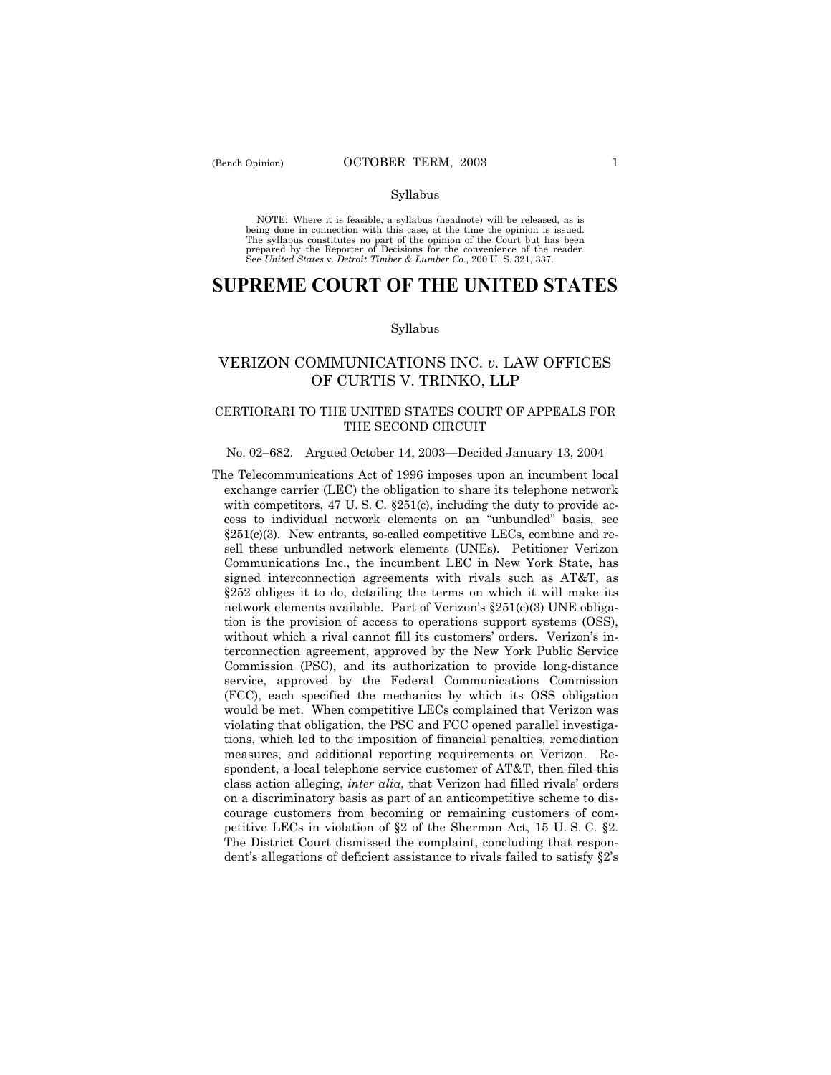#### Syllabus

NOTE: Where it is feasible, a syllabus (headnote) will be released, as is being done in connection with this case, at the time the opinion is issued. The syllabus constitutes no part of the opinion of the Court but has been<br>prepared by the Reporter of Decisions for the convenience of the reader.<br>See United States v. Detroit Timber & Lumber Co., 200 U. S. 321, 337.

# **SUPREME COURT OF THE UNITED STATES**

#### Syllabus

## VERIZON COMMUNICATIONS INC. *v.* LAW OFFICES OF CURTIS V. TRINKO, LLP

## CERTIORARI TO THE UNITED STATES COURT OF APPEALS FOR THE SECOND CIRCUIT

#### No. 02–682. Argued October 14, 2003–Decided January 13, 2004

The Telecommunications Act of 1996 imposes upon an incumbent local exchange carrier (LEC) the obligation to share its telephone network with competitors, 47 U.S.C. §251(c), including the duty to provide access to individual network elements on an "unbundled" basis, see  $$251(c)(3)$ . New entrants, so-called competitive LECs, combine and resell these unbundled network elements (UNEs). Petitioner Verizon Communications Inc., the incumbent LEC in New York State, has signed interconnection agreements with rivals such as AT&T, as ß252 obliges it to do, detailing the terms on which it will make its network elements available. Part of Verizon's  $\S251(c)(3)$  UNE obligation is the provision of access to operations support systems (OSS), without which a rival cannot fill its customers' orders. Verizon's interconnection agreement, approved by the New York Public Service Commission (PSC), and its authorization to provide long-distance service, approved by the Federal Communications Commission (FCC), each specified the mechanics by which its OSS obligation would be met. When competitive LECs complained that Verizon was violating that obligation, the PSC and FCC opened parallel investigations, which led to the imposition of financial penalties, remediation measures, and additional reporting requirements on Verizon. Respondent, a local telephone service customer of AT&T, then filed this class action alleging, *inter alia*, that Verizon had filled rivals' orders on a discriminatory basis as part of an anticompetitive scheme to discourage customers from becoming or remaining customers of competitive LECs in violation of ß2 of the Sherman Act, 15 U. S. C. ß2. The District Court dismissed the complaint, concluding that respondent's allegations of deficient assistance to rivals failed to satisfy §2's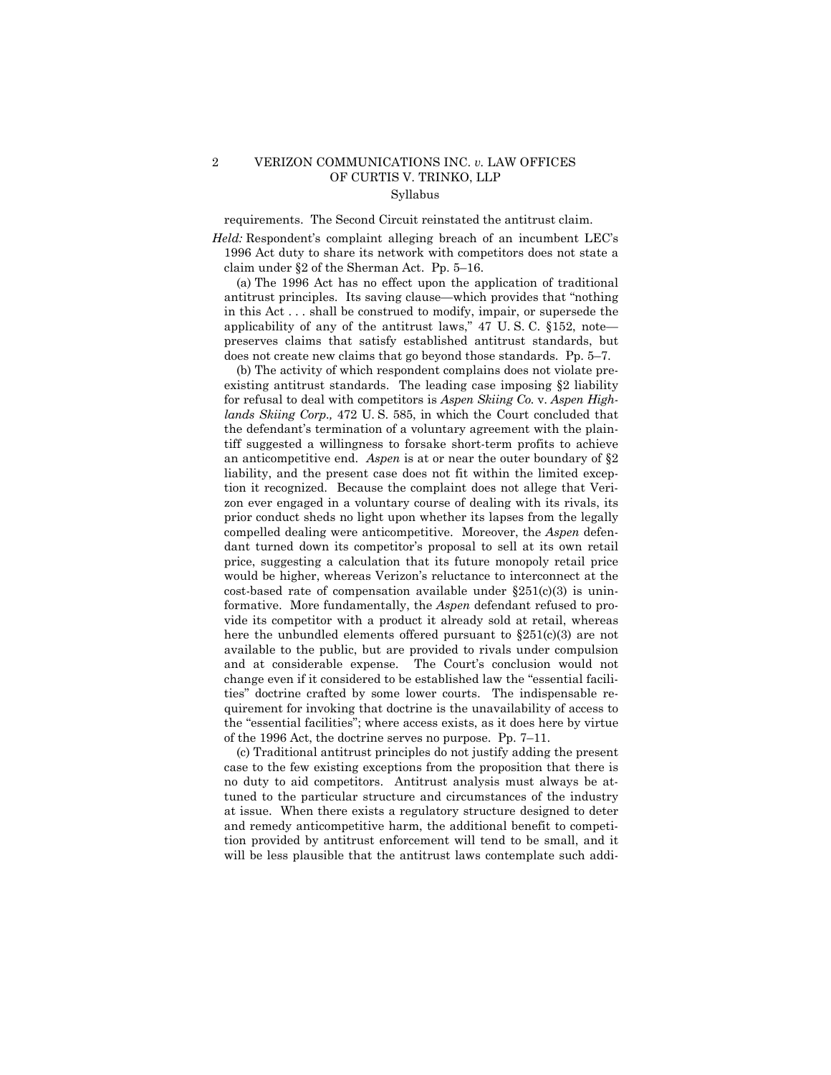## 2 VERIZON COMMUNICATIONS INC. *v.* LAW OFFICES OF CURTIS V. TRINKO, LLP Syllabus

requirements. The Second Circuit reinstated the antitrust claim.

*Held:* Respondent's complaint alleging breach of an incumbent LEC's 1996 Act duty to share its network with competitors does not state a claim under §2 of the Sherman Act. Pp.  $5-16$ .

(a) The 1996 Act has no effect upon the application of traditional antitrust principles. Its saving clause—which provides that "nothing" in this Act . . . shall be construed to modify, impair, or supersede the applicability of any of the antitrust laws,"  $47 \text{ U.S. C. }$  \$152, note preserves claims that satisfy established antitrust standards, but does not create new claims that go beyond those standards. Pp. 5-7.

(b) The activity of which respondent complains does not violate preexisting antitrust standards. The leading case imposing ß2 liability for refusal to deal with competitors is *Aspen Skiing Co.* v. *Aspen Highlands Skiing Corp.,* 472 U. S. 585, in which the Court concluded that the defendant's termination of a voluntary agreement with the plaintiff suggested a willingness to forsake short-term profits to achieve an anticompetitive end. *Aspen* is at or near the outer boundary of ß2 liability, and the present case does not fit within the limited exception it recognized. Because the complaint does not allege that Verizon ever engaged in a voluntary course of dealing with its rivals, its prior conduct sheds no light upon whether its lapses from the legally compelled dealing were anticompetitive. Moreover, the *Aspen* defendant turned down its competitor's proposal to sell at its own retail price, suggesting a calculation that its future monopoly retail price would be higher, whereas Verizon's reluctance to interconnect at the cost-based rate of compensation available under  $\S251(c)(3)$  is uninformative. More fundamentally, the *Aspen* defendant refused to provide its competitor with a product it already sold at retail, whereas here the unbundled elements offered pursuant to  $$251(c)(3)$  are not available to the public, but are provided to rivals under compulsion and at considerable expense. The Court's conclusion would not change even if it considered to be established law the "essential facilitiesî doctrine crafted by some lower courts. The indispensable requirement for invoking that doctrine is the unavailability of access to the "essential facilities"; where access exists, as it does here by virtue of the 1996 Act, the doctrine serves no purpose. Pp.  $7-11$ .

(c) Traditional antitrust principles do not justify adding the present case to the few existing exceptions from the proposition that there is no duty to aid competitors. Antitrust analysis must always be attuned to the particular structure and circumstances of the industry at issue. When there exists a regulatory structure designed to deter and remedy anticompetitive harm, the additional benefit to competition provided by antitrust enforcement will tend to be small, and it will be less plausible that the antitrust laws contemplate such addi-